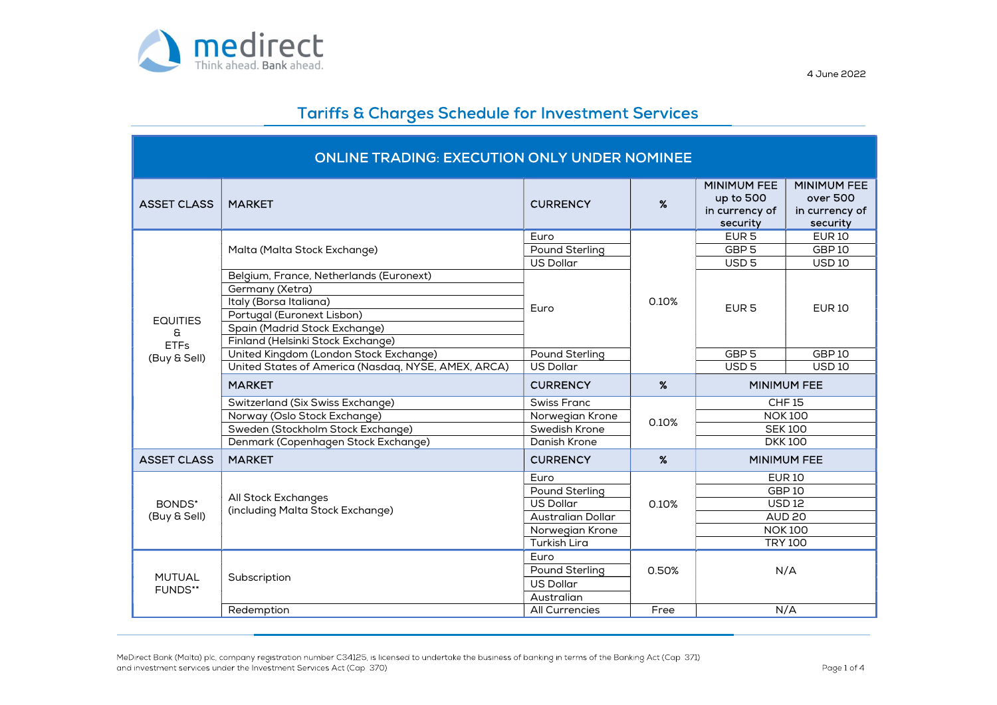

| <b>ONLINE TRADING: EXECUTION ONLY UNDER NOMINEE</b> |                                                            |                                |       |                                                               |                                                              |  |  |
|-----------------------------------------------------|------------------------------------------------------------|--------------------------------|-------|---------------------------------------------------------------|--------------------------------------------------------------|--|--|
| <b>ASSET CLASS</b>                                  | <b>MARKET</b>                                              | <b>CURRENCY</b>                | $\%$  | <b>MINIMUM FEE</b><br>up to 500<br>in currency of<br>security | <b>MINIMUM FEE</b><br>over 500<br>in currency of<br>security |  |  |
|                                                     | Malta (Malta Stock Exchange)                               | Euro                           |       | EUR <sub>5</sub>                                              | <b>EUR10</b>                                                 |  |  |
|                                                     |                                                            | Pound Sterling                 |       | GBP <sub>5</sub>                                              | GBP <sub>10</sub>                                            |  |  |
|                                                     |                                                            | <b>US Dollar</b>               |       | USD <sub>5</sub>                                              | <b>USD10</b>                                                 |  |  |
|                                                     | Belgium, France, Netherlands (Euronext)<br>Germany (Xetra) |                                | 0.10% | EUR <sub>5</sub>                                              | <b>EUR10</b>                                                 |  |  |
| <b>EQUITIES</b>                                     | Italy (Borsa Italiana)                                     |                                |       |                                                               |                                                              |  |  |
|                                                     | Portugal (Euronext Lisbon)                                 | Euro                           |       |                                                               |                                                              |  |  |
|                                                     | Spain (Madrid Stock Exchange)                              |                                |       |                                                               |                                                              |  |  |
| G<br><b>ETFs</b>                                    | Finland (Helsinki Stock Exchange)                          |                                |       |                                                               |                                                              |  |  |
| (Buy & Sell)                                        | United Kingdom (London Stock Exchange)                     | Pound Sterling                 |       | GBP <sub>5</sub>                                              | GBP <sub>10</sub>                                            |  |  |
|                                                     | United States of America (Nasdaq, NYSE, AMEX, ARCA)        | <b>US Dollar</b>               |       | USD <sub>5</sub>                                              | <b>USD10</b>                                                 |  |  |
|                                                     | <b>MARKET</b>                                              | <b>CURRENCY</b>                | $\%$  | <b>MINIMUM FEE</b>                                            |                                                              |  |  |
|                                                     | Switzerland (Six Swiss Exchange)                           | <b>Swiss Franc</b>             |       | <b>CHF15</b>                                                  |                                                              |  |  |
|                                                     | Norway (Oslo Stock Exchange)                               | Norwegian Krone                | 0.10% | <b>NOK100</b>                                                 |                                                              |  |  |
|                                                     | Sweden (Stockholm Stock Exchange)                          | Swedish Krone                  |       | <b>SEK100</b>                                                 |                                                              |  |  |
|                                                     | Denmark (Copenhagen Stock Exchange)                        | Danish Krone                   |       | <b>DKK100</b>                                                 |                                                              |  |  |
| <b>ASSET CLASS</b>                                  | <b>MARKET</b>                                              | <b>CURRENCY</b>                | $\%$  |                                                               | <b>MINIMUM FEE</b>                                           |  |  |
|                                                     |                                                            |                                |       |                                                               |                                                              |  |  |
|                                                     |                                                            | Euro                           |       |                                                               | <b>EUR10</b>                                                 |  |  |
|                                                     |                                                            | Pound Sterling                 |       |                                                               | GBP <sub>10</sub>                                            |  |  |
| BONDS*                                              | All Stock Exchanges                                        | <b>US Dollar</b>               | 0.10% |                                                               | <b>USD12</b>                                                 |  |  |
| (Buy & Sell)                                        | (including Malta Stock Exchange)                           | <b>Australian Dollar</b>       |       |                                                               | <b>AUD 20</b>                                                |  |  |
|                                                     |                                                            | Norwegian Krone                |       |                                                               | <b>NOK100</b>                                                |  |  |
|                                                     |                                                            | <b>Turkish Lira</b>            |       |                                                               | <b>TRY 100</b>                                               |  |  |
|                                                     |                                                            | Euro                           |       |                                                               |                                                              |  |  |
| <b>MUTUAL</b>                                       | Subscription                                               | Pound Sterling                 | 0.50% |                                                               | N/A                                                          |  |  |
| FUNDS**                                             |                                                            | <b>US Dollar</b><br>Australian |       |                                                               |                                                              |  |  |
|                                                     | Redemption                                                 | All Currencies                 | Free  |                                                               | N/A                                                          |  |  |

MeDirect Bank (Malta) plc, company registration number C34125, is licensed to undertake the business of banking in terms of the Banking Act (Cap. 371) and investment services under the Investment Services Act (Cap. 370).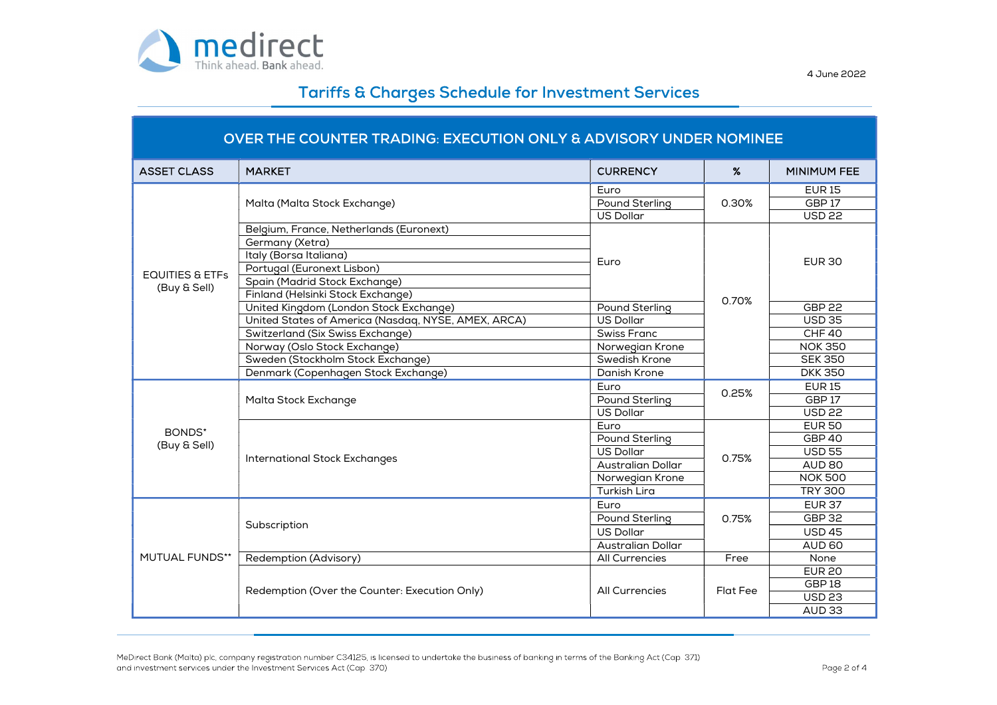

| OVER THE COUNTER TRADING: EXECUTION ONLY & ADVISORY UNDER NOMINEE |                                                     |                          |          |                    |  |  |
|-------------------------------------------------------------------|-----------------------------------------------------|--------------------------|----------|--------------------|--|--|
| <b>ASSET CLASS</b>                                                | <b>MARKET</b>                                       | <b>CURRENCY</b>          | $\%$     | <b>MINIMUM FEE</b> |  |  |
|                                                                   | Malta (Malta Stock Exchange)                        | Euro                     |          | <b>EUR15</b>       |  |  |
|                                                                   |                                                     | <b>Pound Sterling</b>    | 0.30%    | GBP17              |  |  |
|                                                                   |                                                     | <b>US Dollar</b>         |          | <b>USD 22</b>      |  |  |
|                                                                   | Belgium, France, Netherlands (Euronext)             |                          |          | <b>EUR 30</b>      |  |  |
|                                                                   | Germany (Xetra)                                     |                          |          |                    |  |  |
|                                                                   | Italy (Borsa Italiana)                              | Euro                     |          |                    |  |  |
| <b>EQUITIES &amp; ETFS</b>                                        | Portugal (Euronext Lisbon)                          |                          |          |                    |  |  |
| (Buy & Sell)                                                      | Spain (Madrid Stock Exchange)                       |                          |          |                    |  |  |
|                                                                   | Finland (Helsinki Stock Exchange)                   |                          | 0.70%    |                    |  |  |
|                                                                   | United Kingdom (London Stock Exchange)              | Pound Sterling           |          | <b>GBP 22</b>      |  |  |
|                                                                   | United States of America (Nasdaq, NYSE, AMEX, ARCA) | <b>US Dollar</b>         |          | <b>USD 35</b>      |  |  |
|                                                                   | Switzerland (Six Swiss Exchange)                    | <b>Swiss Franc</b>       |          | CHF40              |  |  |
|                                                                   | Norway (Oslo Stock Exchange)                        | Norwegian Krone          |          | <b>NOK 350</b>     |  |  |
|                                                                   | Sweden (Stockholm Stock Exchange)                   | Swedish Krone            |          | <b>SEK 350</b>     |  |  |
|                                                                   | Denmark (Copenhagen Stock Exchange)                 | Danish Krone             |          | <b>DKK350</b>      |  |  |
|                                                                   | Malta Stock Exchange                                | Euro                     | 0.25%    | <b>EUR15</b>       |  |  |
|                                                                   |                                                     | <b>Pound Sterling</b>    |          | GBP <sub>17</sub>  |  |  |
|                                                                   |                                                     | <b>US Dollar</b>         |          | <b>USD 22</b>      |  |  |
| BONDS*                                                            |                                                     | Euro                     |          | <b>EUR 50</b>      |  |  |
|                                                                   | <b>International Stock Exchanges</b>                | <b>Pound Sterling</b>    |          | GBP 40             |  |  |
| (Buy & Sell)                                                      |                                                     | US Dollar                | 0.75%    | <b>USD 55</b>      |  |  |
|                                                                   |                                                     | <b>Australian Dollar</b> |          | AUD 80             |  |  |
|                                                                   |                                                     | Norwegian Krone          |          | <b>NOK 500</b>     |  |  |
|                                                                   |                                                     | <b>Turkish Lira</b>      |          | <b>TRY 300</b>     |  |  |
|                                                                   | Subscription                                        | Euro                     |          | <b>EUR 37</b>      |  |  |
| MUTUAL FUNDS**                                                    |                                                     | Pound Sterling           | 0.75%    | <b>GBP 32</b>      |  |  |
|                                                                   |                                                     | <b>US Dollar</b>         |          | <b>USD 45</b>      |  |  |
|                                                                   |                                                     | Australian Dollar        |          | AUD 60             |  |  |
|                                                                   | Redemption (Advisory)                               | All Currencies           | Free     | None               |  |  |
|                                                                   | Redemption (Over the Counter: Execution Only)       |                          |          | <b>EUR 20</b>      |  |  |
|                                                                   |                                                     |                          |          | GBP <sub>18</sub>  |  |  |
|                                                                   |                                                     | <b>All Currencies</b>    | Flat Fee | <b>USD 23</b>      |  |  |
|                                                                   |                                                     |                          |          | AUD <sub>33</sub>  |  |  |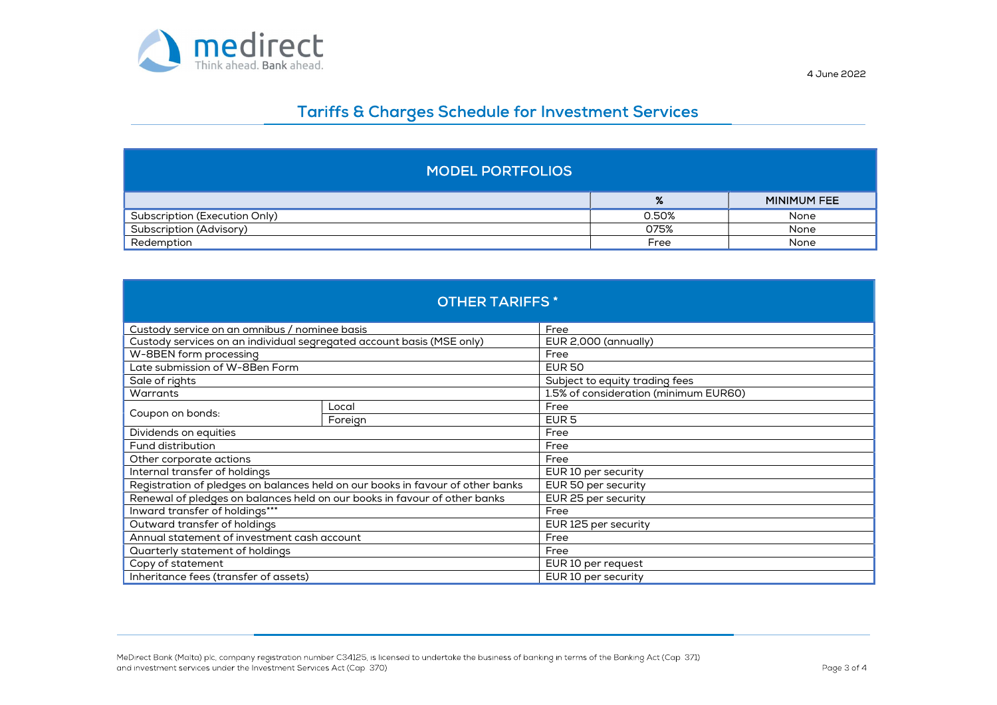

| <b>MODEL PORTFOLIOS</b>       |       |                    |  |  |  |
|-------------------------------|-------|--------------------|--|--|--|
|                               | %     | <b>MINIMUM FEE</b> |  |  |  |
| Subscription (Execution Only) | 0.50% | None               |  |  |  |
| Subscription (Advisory)       | 075%  | None               |  |  |  |
| Redemption                    | Free  | None               |  |  |  |

| <b>OTHER TARIFFS*</b>                                                     |                                                                                |                                       |  |  |  |  |  |
|---------------------------------------------------------------------------|--------------------------------------------------------------------------------|---------------------------------------|--|--|--|--|--|
| Custody service on an omnibus / nominee basis                             |                                                                                | Free                                  |  |  |  |  |  |
| Custody services on an individual segregated account basis (MSE only)     |                                                                                | EUR 2,000 (annually)                  |  |  |  |  |  |
| W-8BEN form processing                                                    |                                                                                | Free                                  |  |  |  |  |  |
| Late submission of W-8Ben Form                                            |                                                                                | <b>EUR 50</b>                         |  |  |  |  |  |
| Sale of rights                                                            |                                                                                | Subject to equity trading fees        |  |  |  |  |  |
| Warrants                                                                  |                                                                                | 1.5% of consideration (minimum EUR60) |  |  |  |  |  |
|                                                                           | Local                                                                          | Free                                  |  |  |  |  |  |
| Coupon on bonds:                                                          | Foreign                                                                        | EUR <sub>5</sub>                      |  |  |  |  |  |
| Dividends on equities                                                     |                                                                                | Free                                  |  |  |  |  |  |
| Fund distribution                                                         |                                                                                | Free                                  |  |  |  |  |  |
| Other corporate actions                                                   |                                                                                | Free                                  |  |  |  |  |  |
| Internal transfer of holdings                                             |                                                                                | EUR 10 per security                   |  |  |  |  |  |
|                                                                           | Registration of pledges on balances held on our books in favour of other banks | EUR 50 per security                   |  |  |  |  |  |
| Renewal of pledges on balances held on our books in favour of other banks |                                                                                | EUR 25 per security                   |  |  |  |  |  |
| Inward transfer of holdings***                                            |                                                                                | Free                                  |  |  |  |  |  |
| Outward transfer of holdings                                              |                                                                                | EUR 125 per security                  |  |  |  |  |  |
| Annual statement of investment cash account                               |                                                                                | Free                                  |  |  |  |  |  |
| Quarterly statement of holdings                                           |                                                                                | Free                                  |  |  |  |  |  |
| Copy of statement                                                         |                                                                                | EUR 10 per request                    |  |  |  |  |  |
| Inheritance fees (transfer of assets)                                     |                                                                                | EUR 10 per security                   |  |  |  |  |  |